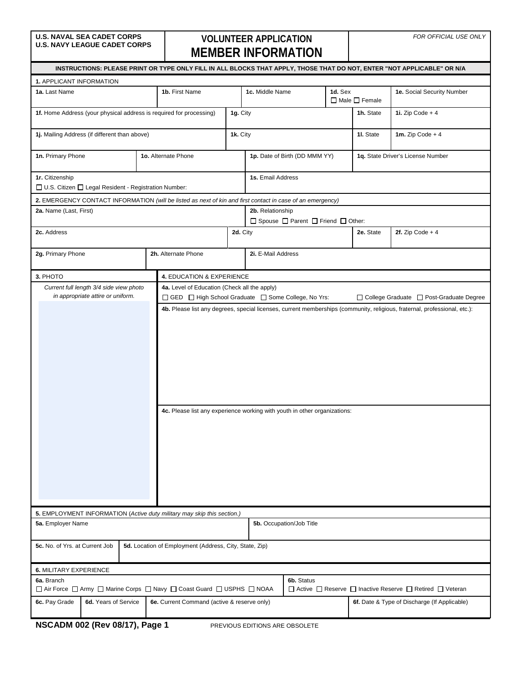## **VOLUNTEER APPLICATION MEMBER INFORMATION**

*FOR OFFICIAL USE ONLY*

| INSTRUCTIONS: PLEASE PRINT OR TYPE ONLY FILL IN ALL BLOCKS THAT APPLY, THOSE THAT DO NOT, ENTER "NOT APPLICABLE" OR N/A                                                                                |                                         |  |                                                                                                            |                               |                                                                                                  |                                                         |                                              |                           |                                           |
|--------------------------------------------------------------------------------------------------------------------------------------------------------------------------------------------------------|-----------------------------------------|--|------------------------------------------------------------------------------------------------------------|-------------------------------|--------------------------------------------------------------------------------------------------|---------------------------------------------------------|----------------------------------------------|---------------------------|-------------------------------------------|
| 1. APPLICANT INFORMATION                                                                                                                                                                               |                                         |  |                                                                                                            |                               |                                                                                                  |                                                         |                                              |                           |                                           |
| 1a. Last Name                                                                                                                                                                                          |                                         |  | 1b. First Name                                                                                             |                               | 1c. Middle Name                                                                                  |                                                         | 1d. Sex                                      | $\Box$ Male $\Box$ Female | 1e. Social Security Number                |
|                                                                                                                                                                                                        |                                         |  | 1f. Home Address (your physical address is required for processing)                                        | 1g. City                      |                                                                                                  |                                                         |                                              | 1h. State                 | 1i. Zip Code $+4$                         |
| 1j. Mailing Address (if different than above)                                                                                                                                                          |                                         |  |                                                                                                            | 1k. City                      |                                                                                                  |                                                         |                                              | 11. State                 | 1m. Zip Code $+4$                         |
| 1n. Primary Phone<br>1o. Alternate Phone                                                                                                                                                               |                                         |  |                                                                                                            | 1p. Date of Birth (DD MMM YY) |                                                                                                  | 1q. State Driver's License Number                       |                                              |                           |                                           |
| 1r. Citizenship<br>□ U.S. Citizen □ Legal Resident - Registration Number:                                                                                                                              |                                         |  |                                                                                                            |                               | 1s. Email Address                                                                                |                                                         |                                              |                           |                                           |
|                                                                                                                                                                                                        |                                         |  | 2. EMERGENCY CONTACT INFORMATION (will be listed as next of kin and first contact in case of an emergency) |                               |                                                                                                  |                                                         |                                              |                           |                                           |
| 2a. Name (Last, First)                                                                                                                                                                                 |                                         |  |                                                                                                            |                               | 2b. Relationship                                                                                 | $\Box$ Spouse $\Box$ Parent $\Box$ Friend $\Box$ Other: |                                              |                           |                                           |
| 2c. Address                                                                                                                                                                                            |                                         |  |                                                                                                            | 2d. City                      |                                                                                                  |                                                         |                                              | 2e. State                 | 2f. Zip Code $+4$                         |
| 2g. Primary Phone                                                                                                                                                                                      |                                         |  | 2h. Alternate Phone                                                                                        |                               | 2i. E-Mail Address                                                                               |                                                         |                                              |                           |                                           |
| 3. PHOTO                                                                                                                                                                                               |                                         |  | 4. EDUCATION & EXPERIENCE                                                                                  |                               |                                                                                                  |                                                         |                                              |                           |                                           |
|                                                                                                                                                                                                        | Current full length 3/4 side view photo |  | 4a. Level of Education (Check all the apply)                                                               |                               |                                                                                                  |                                                         |                                              |                           |                                           |
|                                                                                                                                                                                                        | in appropriate attire or uniform.       |  | □ GED □ High School Graduate □ Some College, No Yrs:                                                       |                               |                                                                                                  |                                                         |                                              |                           | □ College Graduate □ Post-Graduate Degree |
| 4b. Please list any degrees, special licenses, current memberships (community, religious, fraternal, professional, etc.):<br>4c. Please list any experience working with youth in other organizations: |                                         |  |                                                                                                            |                               |                                                                                                  |                                                         |                                              |                           |                                           |
|                                                                                                                                                                                                        |                                         |  | 5. EMPLOYMENT INFORMATION (Active duty military may skip this section.)                                    |                               |                                                                                                  |                                                         |                                              |                           |                                           |
| 5a. Employer Name                                                                                                                                                                                      |                                         |  |                                                                                                            |                               |                                                                                                  | 5b. Occupation/Job Title                                |                                              |                           |                                           |
| 5c. No. of Yrs. at Current Job                                                                                                                                                                         |                                         |  | 5d. Location of Employment (Address, City, State, Zip)                                                     |                               |                                                                                                  |                                                         |                                              |                           |                                           |
| 6. MILITARY EXPERIENCE                                                                                                                                                                                 |                                         |  |                                                                                                            |                               |                                                                                                  |                                                         |                                              |                           |                                           |
| 6a. Branch                                                                                                                                                                                             |                                         |  | □ Air Force □ Army □ Marine Corps □ Navy □ Coast Guard □ USPHS □ NOAA                                      |                               | 6b. Status<br>$\Box$ Active $\Box$ Reserve $\Box$ Inactive Reserve $\Box$ Retired $\Box$ Veteran |                                                         |                                              |                           |                                           |
| 6c. Pay Grade                                                                                                                                                                                          | 6d. Years of Service                    |  | 6e. Current Command (active & reserve only)                                                                |                               |                                                                                                  |                                                         | 6f. Date & Type of Discharge (If Applicable) |                           |                                           |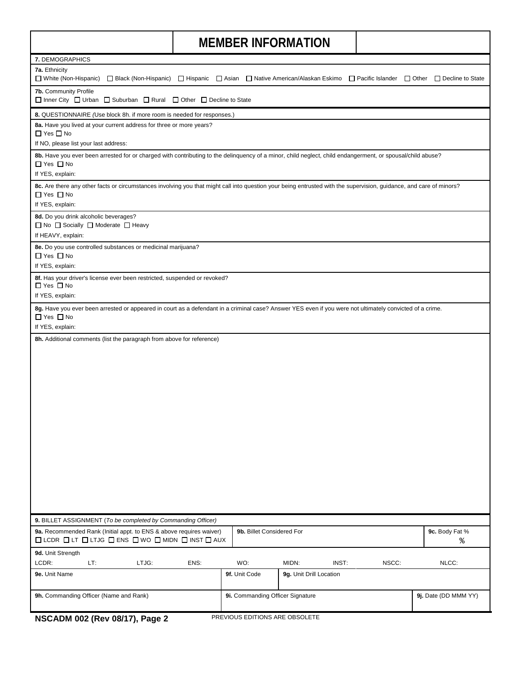$\mathbf{I}$ 

|                                                                                                                                                                                                                 |                           |                                  | <b>NILIVIDER INFURNIATION</b> |                      |                      |  |  |  |
|-----------------------------------------------------------------------------------------------------------------------------------------------------------------------------------------------------------------|---------------------------|----------------------------------|-------------------------------|----------------------|----------------------|--|--|--|
| 7. DEMOGRAPHICS                                                                                                                                                                                                 |                           |                                  |                               |                      |                      |  |  |  |
| 7a. Ethnicity<br>□ White (Non-Hispanic) □ Black (Non-Hispanic) □ Hispanic □ Asian □ Native American/Alaskan Eskimo □ Pacific Islander □ Other □ Decline to State                                                |                           |                                  |                               |                      |                      |  |  |  |
| 7b. Community Profile<br>$\Box$ Inner City $\Box$ Urban $\Box$ Suburban $\Box$ Rural $\Box$ Other $\Box$ Decline to State                                                                                       |                           |                                  |                               |                      |                      |  |  |  |
| 8. QUESTIONNAIRE (Use block 8h. if more room is needed for responses.)                                                                                                                                          |                           |                                  |                               |                      |                      |  |  |  |
| 8a. Have you lived at your current address for three or more years?<br>$\Box$ Yes $\Box$ No                                                                                                                     |                           |                                  |                               |                      |                      |  |  |  |
| If NO, please list your last address:                                                                                                                                                                           |                           |                                  |                               |                      |                      |  |  |  |
| 8b. Have you ever been arrested for or charged with contributing to the delinguency of a minor, child neglect, child endangerment, or spousal/child abuse?<br>$\Box$ Yes $\Box$ No<br>If YES, explain:          |                           |                                  |                               |                      |                      |  |  |  |
| 8c. Are there any other facts or circumstances involving you that might call into question your being entrusted with the supervision, guidance, and care of minors?<br>$\Box$ Yes $\Box$ No<br>If YES, explain: |                           |                                  |                               |                      |                      |  |  |  |
| 8d. Do you drink alcoholic beverages?<br>$\Box$ No $\Box$ Socially $\Box$ Moderate $\Box$ Heavy<br>If HEAVY, explain:                                                                                           |                           |                                  |                               |                      |                      |  |  |  |
| 8e. Do you use controlled substances or medicinal marijuana?<br>$\Box$ Yes $\Box$ No<br>If YES, explain:                                                                                                        |                           |                                  |                               |                      |                      |  |  |  |
| 8f. Has your driver's license ever been restricted, suspended or revoked?<br>$\Box$ Yes $\Box$ No<br>If YES, explain:                                                                                           |                           |                                  |                               |                      |                      |  |  |  |
| 8g. Have you ever been arrested or appeared in court as a defendant in a criminal case? Answer YES even if you were not ultimately convicted of a crime.<br>$\Box$ Yes $\Box$ No<br>If YES, explain:            |                           |                                  |                               |                      |                      |  |  |  |
| 8h. Additional comments (list the paragraph from above for reference)                                                                                                                                           |                           |                                  |                               |                      |                      |  |  |  |
| 9. BILLET ASSIGNMENT (To be completed by Commanding Officer)                                                                                                                                                    |                           |                                  |                               |                      |                      |  |  |  |
| 9a. Recommended Rank (Initial appt. to ENS & above requires waiver)<br>$\Box$ LCDR $\Box$ LT $\Box$ LTJG $\Box$ ENS $\Box$ WO $\Box$ MIDN $\Box$ INST $\Box$ AUX                                                | 9b. Billet Considered For |                                  |                               | 9c. Body Fat %<br>٥, |                      |  |  |  |
| 9d. Unit Strength<br>LCDR:<br>LT:<br>LTJG:                                                                                                                                                                      | ENS:                      | WO:                              | MIDN:<br>INST:                | NSCC:                | NLCC:                |  |  |  |
| 9e. Unit Name                                                                                                                                                                                                   |                           | 9f. Unit Code                    | 9g. Unit Drill Location       |                      |                      |  |  |  |
| 9h. Commanding Officer (Name and Rank)                                                                                                                                                                          |                           | 9i. Commanding Officer Signature |                               |                      | 9j. Date (DD MMM YY) |  |  |  |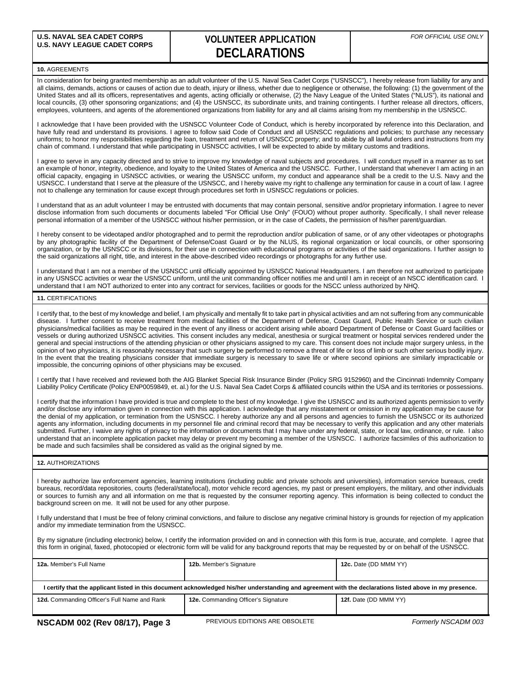### **U.S. NAVY LEAGUE CADET CORPS VOLUNTEER APPLICATION DECLARATIONS**

#### **10.** AGREEMENTS

In consideration for being granted membership as an adult volunteer of the U.S. Naval Sea Cadet Corps ("USNSCC"), I hereby release from liability for any and all claims, demands, actions or causes of action due to death, injury or illness, whether due to negligence or otherwise, the following: (1) the government of the United States and all its officers, representatives and agents, acting officially or otherwise, (2) the Navy League of the United States ("NLUS"), its national and local councils, (3) other sponsoring organizations; and (4) the USNSCC, its subordinate units, and training contingents. I further release all directors, officers, employees, volunteers, and agents of the aforementioned organizations from liability for any and all claims arising from my membership in the USNSCC.

I acknowledge that I have been provided with the USNSCC Volunteer Code of Conduct, which is hereby incorporated by reference into this Declaration, and have fully read and understand its provisions. I agree to follow said Code of Conduct and all USNSCC regulations and policies; to purchase any necessary uniforms; to honor my responsibilities regarding the loan, treatment and return of USNSCC property; and to abide by all lawful orders and instructions from my chain of command. I understand that while participating in USNSCC activities, I will be expected to abide by military customs and traditions.

I agree to serve in any capacity directed and to strive to improve my knowledge of naval subjects and procedures. I will conduct myself in a manner as to set an example of honor, integrity, obedience, and loyalty to the United States of America and the USNSCC. Further, I understand that whenever I am acting in an official capacity, engaging in USNSCC activities, or wearing the USNSCC uniform, my conduct and appearance shall be a credit to the U.S. Navy and the USNSCC. I understand that I serve at the pleasure of the USNSCC, and I hereby waive my right to challenge any termination for cause in a court of law. I agree not to challenge any termination for cause except through procedures set forth in USNSCC regulations or policies.

I understand that as an adult volunteer I may be entrusted with documents that may contain personal, sensitive and/or proprietary information. I agree to never disclose information from such documents or documents labeled "For Official Use Only" (FOUO) without proper authority. Specifically, I shall never release personal information of a member of the USNSCC without his/her permission, or in the case of Cadets, the permission of his/her parent/guardian.

I hereby consent to be videotaped and/or photographed and to permit the reproduction and/or publication of same, or of any other videotapes or photographs by any photographic facility of the Department of Defense/Coast Guard or by the NLUS, its regional organization or local councils, or other sponsoring organization, or by the USNSCC or its divisions, for their use in connection with educational programs or activities of the said organizations. I further assign to the said organizations all right, title, and interest in the above-described video recordings or photographs for any further use.

I understand that I am not a member of the USNSCC until officially appointed by USNSCC National Headquarters. I am therefore not authorized to participate in any USNSCC activities or wear the USNSCC uniform, until the unit commanding officer notifies me and until I am in receipt of an NSCC identification card. I understand that I am NOT authorized to enter into any contract for services, facilities or goods for the NSCC unless authorized by NHQ.

#### **11.** CERTIFICATIONS

I certify that, to the best of my knowledge and belief, I am physically and mentally fit to take part in physical activities and am not suffering from any communicable disease. I further consent to receive treatment from medical facilities of the Department of Defense, Coast Guard, Public Health Service or such civilian physicians/medical facilities as may be required in the event of any illness or accident arising while aboard Department of Defense or Coast Guard facilities or vessels or during authorized USNSCC activities. This consent includes any medical, anesthesia or surgical treatment or hospital services rendered under the general and special instructions of the attending physician or other physicians assigned to my care. This consent does not include major surgery unless, in the opinion of two physicians, it is reasonably necessary that such surgery be performed to remove a threat of life or loss of limb or such other serious bodily injury. In the event that the treating physicians consider that immediate surgery is necessary to save life or where second opinions are similarly impracticable or impossible, the concurring opinions of other physicians may be excused.

I certify that I have received and reviewed both the AIG Blanket Special Risk Insurance Binder (Policy SRG 9152960) and the Cincinnati Indemnity Company Liability Policy Certificate (Policy ENP0059849, et. al.) for the U.S. Naval Sea Cadet Corps & affiliated councils within the USA and its territories or possessions.

I certify that the information I have provided is true and complete to the best of my knowledge. I give the USNSCC and its authorized agents permission to verify and/or disclose any information given in connection with this application. I acknowledge that any misstatement or omission in my application may be cause for the denial of my application, or termination from the USNSCC. I hereby authorize any and all persons and agencies to furnish the USNSCC or its authorized agents any information, including documents in my personnel file and criminal record that may be necessary to verify this application and any other materials submitted. Further, I waive any rights of privacy to the information or documents that I may have under any federal, state, or local law, ordinance, or rule. I also understand that an incomplete application packet may delay or prevent my becoming a member of the USNSCC. I authorize facsimiles of this authorization to be made and such facsimiles shall be considered as valid as the original signed by me.

#### **12.** AUTHORIZATIONS

I hereby authorize law enforcement agencies, learning institutions (including public and private schools and universities), information service bureaus, credit bureaus, record/data repositories, courts (federal/state/local), motor vehicle record agencies, my past or present employers, the military, and other individuals or sources to furnish any and all information on me that is requested by the consumer reporting agency. This information is being collected to conduct the background screen on me. It will not be used for any other purpose.

I fully understand that I must be free of felony criminal convictions, and failure to disclose any negative criminal history is grounds for rejection of my application and/or my immediate termination from the USNSCC.

By my signature (including electronic) below, I certify the information provided on and in connection with this form is true, accurate, and complete. I agree that this form in original, faxed, photocopied or electronic form will be valid for any background reports that may be requested by or on behalf of the USNSCC.

| 12a. Member's Full Name                                                                                                                                  | 12b. Member's Signature             | 12c. Date (DD MMM YY) |  |  |  |  |  |  |
|----------------------------------------------------------------------------------------------------------------------------------------------------------|-------------------------------------|-----------------------|--|--|--|--|--|--|
|                                                                                                                                                          |                                     |                       |  |  |  |  |  |  |
| I certify that the applicant listed in this document acknowledged his/her understanding and agreement with the declarations listed above in my presence. |                                     |                       |  |  |  |  |  |  |
| 12d. Commanding Officer's Full Name and Rank                                                                                                             | 12e. Commanding Officer's Signature | 12f. Date (DD MMM YY) |  |  |  |  |  |  |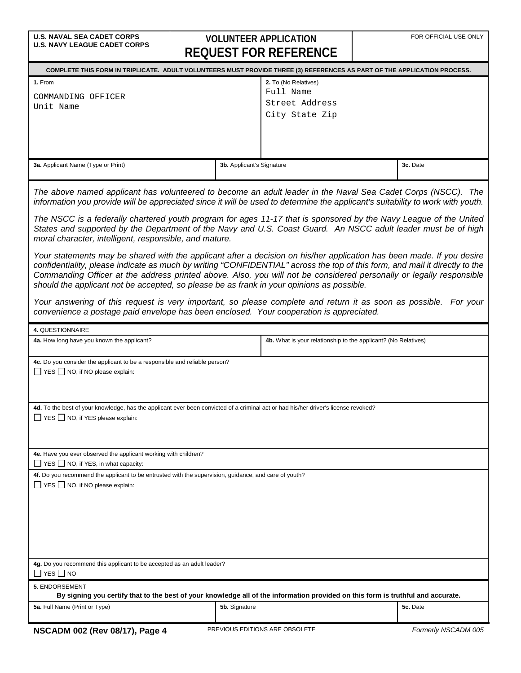## U.S. NAVAL SEA CADET CORPS<br>U.S. NAVY LEAGUE CADET CORPS<br>  $\begin{array}{c}\n\bullet \\
\bullet \\
\bullet \\
\bullet\n\end{array}$ **REQUEST FOR REFERENCE**

| - פטבטו ו טול ולכו בולבולטב                                                                                                                                                                                                                                                                                                                                                                                                                                              |                           |                                                                |  |                     |  |  |  |  |
|--------------------------------------------------------------------------------------------------------------------------------------------------------------------------------------------------------------------------------------------------------------------------------------------------------------------------------------------------------------------------------------------------------------------------------------------------------------------------|---------------------------|----------------------------------------------------------------|--|---------------------|--|--|--|--|
| COMPLETE THIS FORM IN TRIPLICATE. ADULT VOLUNTEERS MUST PROVIDE THREE (3) REFERENCES AS PART OF THE APPLICATION PROCESS.                                                                                                                                                                                                                                                                                                                                                 |                           |                                                                |  |                     |  |  |  |  |
| 1. From                                                                                                                                                                                                                                                                                                                                                                                                                                                                  |                           | 2. To (No Relatives)                                           |  |                     |  |  |  |  |
| COMMANDING OFFICER                                                                                                                                                                                                                                                                                                                                                                                                                                                       |                           | Full Name                                                      |  |                     |  |  |  |  |
| Unit Name                                                                                                                                                                                                                                                                                                                                                                                                                                                                |                           | Street Address                                                 |  |                     |  |  |  |  |
|                                                                                                                                                                                                                                                                                                                                                                                                                                                                          |                           | City State Zip                                                 |  |                     |  |  |  |  |
|                                                                                                                                                                                                                                                                                                                                                                                                                                                                          |                           |                                                                |  |                     |  |  |  |  |
|                                                                                                                                                                                                                                                                                                                                                                                                                                                                          |                           |                                                                |  |                     |  |  |  |  |
|                                                                                                                                                                                                                                                                                                                                                                                                                                                                          |                           |                                                                |  |                     |  |  |  |  |
| 3a. Applicant Name (Type or Print)                                                                                                                                                                                                                                                                                                                                                                                                                                       | 3b. Applicant's Signature |                                                                |  | 3c. Date            |  |  |  |  |
|                                                                                                                                                                                                                                                                                                                                                                                                                                                                          |                           |                                                                |  |                     |  |  |  |  |
| The above named applicant has volunteered to become an adult leader in the Naval Sea Cadet Corps (NSCC). The<br>information you provide will be appreciated since it will be used to determine the applicant's suitability to work with youth.                                                                                                                                                                                                                           |                           |                                                                |  |                     |  |  |  |  |
| The NSCC is a federally chartered youth program for ages 11-17 that is sponsored by the Navy League of the United<br>States and supported by the Department of the Navy and U.S. Coast Guard. An NSCC adult leader must be of high<br>moral character, intelligent, responsible, and mature.                                                                                                                                                                             |                           |                                                                |  |                     |  |  |  |  |
| Your statements may be shared with the applicant after a decision on his/her application has been made. If you desire<br>confidentiality, please indicate as much by writing "CONFIDENTIAL" across the top of this form, and mail it directly to the<br>Commanding Officer at the address printed above. Also, you will not be considered personally or legally responsible<br>should the applicant not be accepted, so please be as frank in your opinions as possible. |                           |                                                                |  |                     |  |  |  |  |
| Your answering of this request is very important, so please complete and return it as soon as possible. For your<br>convenience a postage paid envelope has been enclosed. Your cooperation is appreciated.                                                                                                                                                                                                                                                              |                           |                                                                |  |                     |  |  |  |  |
| 4. QUESTIONNAIRE                                                                                                                                                                                                                                                                                                                                                                                                                                                         |                           |                                                                |  |                     |  |  |  |  |
| 4a. How long have you known the applicant?                                                                                                                                                                                                                                                                                                                                                                                                                               |                           | 4b. What is your relationship to the applicant? (No Relatives) |  |                     |  |  |  |  |
| 4c. Do you consider the applicant to be a responsible and reliable person?<br>$\Box$ YES $\Box$ NO, if NO please explain:                                                                                                                                                                                                                                                                                                                                                |                           |                                                                |  |                     |  |  |  |  |
| 4d. To the best of your knowledge, has the applicant ever been convicted of a criminal act or had his/her driver's license revoked?                                                                                                                                                                                                                                                                                                                                      |                           |                                                                |  |                     |  |  |  |  |
| YES NO, if YES please explain:                                                                                                                                                                                                                                                                                                                                                                                                                                           |                           |                                                                |  |                     |  |  |  |  |
|                                                                                                                                                                                                                                                                                                                                                                                                                                                                          |                           |                                                                |  |                     |  |  |  |  |
| 4e. Have you ever observed the applicant working with children?<br>$\Box$ YES $\Box$ NO, if YES, in what capacity:                                                                                                                                                                                                                                                                                                                                                       |                           |                                                                |  |                     |  |  |  |  |
| 4f. Do you recommend the applicant to be entrusted with the supervision, guidance, and care of youth?<br>$\Box$ YES $\Box$ NO, if NO please explain:                                                                                                                                                                                                                                                                                                                     |                           |                                                                |  |                     |  |  |  |  |
|                                                                                                                                                                                                                                                                                                                                                                                                                                                                          |                           |                                                                |  |                     |  |  |  |  |
|                                                                                                                                                                                                                                                                                                                                                                                                                                                                          |                           |                                                                |  |                     |  |  |  |  |
|                                                                                                                                                                                                                                                                                                                                                                                                                                                                          |                           |                                                                |  |                     |  |  |  |  |
|                                                                                                                                                                                                                                                                                                                                                                                                                                                                          |                           |                                                                |  |                     |  |  |  |  |
| 4g. Do you recommend this applicant to be accepted as an adult leader?<br>$\Box$ YES $\Box$ NO                                                                                                                                                                                                                                                                                                                                                                           |                           |                                                                |  |                     |  |  |  |  |
| 5. ENDORSEMENT                                                                                                                                                                                                                                                                                                                                                                                                                                                           |                           |                                                                |  |                     |  |  |  |  |
| By signing you certify that to the best of your knowledge all of the information provided on this form is truthful and accurate.                                                                                                                                                                                                                                                                                                                                         |                           |                                                                |  |                     |  |  |  |  |
| 5a. Full Name (Print or Type)                                                                                                                                                                                                                                                                                                                                                                                                                                            | 5b. Signature             |                                                                |  | 5c. Date            |  |  |  |  |
| NSCADM 002 (Rev 08/17), Page 4                                                                                                                                                                                                                                                                                                                                                                                                                                           |                           | PREVIOUS EDITIONS ARE OBSOLETE                                 |  | Formerly NSCADM 005 |  |  |  |  |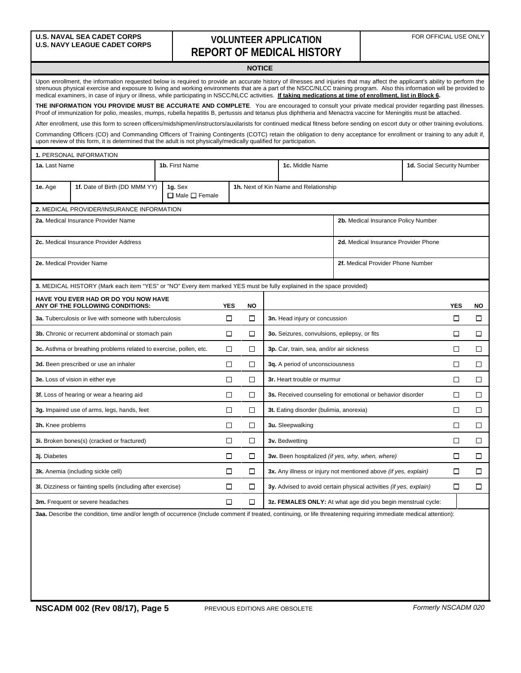### **VOLUNTEER APPLICATION REPORT OF MEDICAL HISTORY**

|                                                                                                                                                                                                                                                                                                                                                                                                                                                                                                                         |                                                                                                                                                                                                                                                                                                                       |                                      |            | <b>NOTICE</b> |                                                                              |                                                              |                            |            |        |  |
|-------------------------------------------------------------------------------------------------------------------------------------------------------------------------------------------------------------------------------------------------------------------------------------------------------------------------------------------------------------------------------------------------------------------------------------------------------------------------------------------------------------------------|-----------------------------------------------------------------------------------------------------------------------------------------------------------------------------------------------------------------------------------------------------------------------------------------------------------------------|--------------------------------------|------------|---------------|------------------------------------------------------------------------------|--------------------------------------------------------------|----------------------------|------------|--------|--|
| Upon enrollment, the information requested below is required to provide an accurate history of illnesses and injuries that may affect the applicant's ability to perform the<br>strenuous physical exercise and exposure to living and working environments that are a part of the NSCC/NLCC training program. Also this information will be provided to<br>medical examiners, in case of injury or illness, while participating in NSCC/NLCC activities. If taking medications at time of enrollment, list in Block 6. |                                                                                                                                                                                                                                                                                                                       |                                      |            |               |                                                                              |                                                              |                            |            |        |  |
|                                                                                                                                                                                                                                                                                                                                                                                                                                                                                                                         | THE INFORMATION YOU PROVIDE MUST BE ACCURATE AND COMPLETE. You are encouraged to consult your private medical provider regarding past illnesses.<br>Proof of immunization for polio, measles, mumps, rubella hepatitis B, pertussis and tetanus plus diphtheria and Menactra vaccine for Meningitis must be attached. |                                      |            |               |                                                                              |                                                              |                            |            |        |  |
|                                                                                                                                                                                                                                                                                                                                                                                                                                                                                                                         | After enrollment, use this form to screen officers/midshipmen/instructors/auxilarists for continued medical fitness before sending on escort duty or other training evolutions.                                                                                                                                       |                                      |            |               |                                                                              |                                                              |                            |            |        |  |
|                                                                                                                                                                                                                                                                                                                                                                                                                                                                                                                         | Commanding Officers (CO) and Commanding Officers of Training Contingents (COTC) retain the obligation to deny acceptance for enrollment or training to any adult if,<br>upon review of this form, it is determined that the adult is not physically/medically qualified for participation.                            |                                      |            |               |                                                                              |                                                              |                            |            |        |  |
|                                                                                                                                                                                                                                                                                                                                                                                                                                                                                                                         | 1. PERSONAL INFORMATION                                                                                                                                                                                                                                                                                               |                                      |            |               |                                                                              |                                                              |                            |            |        |  |
| 1a. Last Name                                                                                                                                                                                                                                                                                                                                                                                                                                                                                                           |                                                                                                                                                                                                                                                                                                                       | 1b. First Name                       |            |               | 1c. Middle Name                                                              |                                                              | 1d. Social Security Number |            |        |  |
| 1e. Age                                                                                                                                                                                                                                                                                                                                                                                                                                                                                                                 | 1f. Date of Birth (DD MMM YY)                                                                                                                                                                                                                                                                                         | 1g. Sex<br>$\Box$ Male $\Box$ Female |            |               | 1h. Next of Kin Name and Relationship                                        |                                                              |                            |            |        |  |
|                                                                                                                                                                                                                                                                                                                                                                                                                                                                                                                         | 2. MEDICAL PROVIDER/INSURANCE INFORMATION                                                                                                                                                                                                                                                                             |                                      |            |               |                                                                              |                                                              |                            |            |        |  |
|                                                                                                                                                                                                                                                                                                                                                                                                                                                                                                                         | 2a. Medical Insurance Provider Name                                                                                                                                                                                                                                                                                   |                                      |            |               |                                                                              | 2b. Medical Insurance Policy Number                          |                            |            |        |  |
|                                                                                                                                                                                                                                                                                                                                                                                                                                                                                                                         | 2c. Medical Insurance Provider Address                                                                                                                                                                                                                                                                                |                                      |            |               |                                                                              | 2d. Medical Insurance Provider Phone                         |                            |            |        |  |
| 2e. Medical Provider Name<br>2f. Medical Provider Phone Number                                                                                                                                                                                                                                                                                                                                                                                                                                                          |                                                                                                                                                                                                                                                                                                                       |                                      |            |               |                                                                              |                                                              |                            |            |        |  |
|                                                                                                                                                                                                                                                                                                                                                                                                                                                                                                                         | 3. MEDICAL HISTORY (Mark each item "YES" or "NO" Every item marked YES must be fully explained in the space provided)                                                                                                                                                                                                 |                                      |            |               |                                                                              |                                                              |                            |            |        |  |
|                                                                                                                                                                                                                                                                                                                                                                                                                                                                                                                         | HAVE YOU EVER HAD OR DO YOU NOW HAVE<br>ANY OF THE FOLLOWING CONDITIONS:                                                                                                                                                                                                                                              |                                      | <b>YES</b> | <b>NO</b>     |                                                                              |                                                              |                            | <b>YES</b> | NO.    |  |
|                                                                                                                                                                                                                                                                                                                                                                                                                                                                                                                         | 3a. Tuberculosis or live with someone with tuberculosis                                                                                                                                                                                                                                                               |                                      | □          | $\Box$        | 3n. Head injury or concussion                                                |                                                              |                            | □          | □      |  |
|                                                                                                                                                                                                                                                                                                                                                                                                                                                                                                                         | 3b. Chronic or recurrent abdominal or stomach pain                                                                                                                                                                                                                                                                    |                                      | □          | □             | 3o. Seizures, convulsions, epilepsy, or fits                                 |                                                              |                            | □          | □      |  |
|                                                                                                                                                                                                                                                                                                                                                                                                                                                                                                                         | 3c. Asthma or breathing problems related to exercise, pollen, etc.                                                                                                                                                                                                                                                    |                                      | □          | □             | 3p. Car, train, sea, and/or air sickness                                     |                                                              |                            | □          | □      |  |
|                                                                                                                                                                                                                                                                                                                                                                                                                                                                                                                         | 3d. Been prescribed or use an inhaler                                                                                                                                                                                                                                                                                 |                                      | □          | □             | 3q. A period of unconsciousness                                              |                                                              |                            | □          | □      |  |
|                                                                                                                                                                                                                                                                                                                                                                                                                                                                                                                         | 3e. Loss of vision in either eye                                                                                                                                                                                                                                                                                      |                                      | □          | □             | 3r. Heart trouble or murmur                                                  |                                                              |                            | $\Box$     | □      |  |
|                                                                                                                                                                                                                                                                                                                                                                                                                                                                                                                         | 3f. Loss of hearing or wear a hearing aid                                                                                                                                                                                                                                                                             |                                      | □          | □             | 3s. Received counseling for emotional or behavior disorder                   |                                                              | □                          | □          |        |  |
|                                                                                                                                                                                                                                                                                                                                                                                                                                                                                                                         | 3g. Impaired use of arms, legs, hands, feet                                                                                                                                                                                                                                                                           |                                      | □          | □             | 3t. Eating disorder (bulimia, anorexia)                                      |                                                              | □                          | □          |        |  |
| □<br>3h. Knee problems                                                                                                                                                                                                                                                                                                                                                                                                                                                                                                  |                                                                                                                                                                                                                                                                                                                       |                                      |            | □             | 3u. Sleepwalking                                                             |                                                              | □                          | □          |        |  |
| 3i. Broken bones(s) (cracked or fractured)                                                                                                                                                                                                                                                                                                                                                                                                                                                                              |                                                                                                                                                                                                                                                                                                                       |                                      |            | □<br>□        | 3v. Bedwetting                                                               |                                                              |                            | $\Box$     | □      |  |
| 3j. Diabetes                                                                                                                                                                                                                                                                                                                                                                                                                                                                                                            |                                                                                                                                                                                                                                                                                                                       |                                      | $\Box$     | $\Box$        | 3w. Been hospitalized (if yes, why, when, where)                             |                                                              | $\Box$                     | $\Box$     |        |  |
|                                                                                                                                                                                                                                                                                                                                                                                                                                                                                                                         | 3k. Anemia (including sickle cell)                                                                                                                                                                                                                                                                                    |                                      | $\Box$     | $\Box$        | 3x. Any illness or injury not mentioned above <i>(if yes, explain)</i>       |                                                              |                            | □          | $\Box$ |  |
|                                                                                                                                                                                                                                                                                                                                                                                                                                                                                                                         | 3I. Dizziness or fainting spells (including after exercise)                                                                                                                                                                                                                                                           |                                      | $\Box$     | $\Box$        | 3y. Advised to avoid certain physical activities (if yes, explain)<br>$\Box$ |                                                              |                            |            | $\Box$ |  |
|                                                                                                                                                                                                                                                                                                                                                                                                                                                                                                                         | 3m. Frequent or severe headaches                                                                                                                                                                                                                                                                                      |                                      | □          | $\Box$        |                                                                              | 3z. FEMALES ONLY: At what age did you begin menstrual cycle: |                            |            |        |  |
|                                                                                                                                                                                                                                                                                                                                                                                                                                                                                                                         | 3aa. Describe the condition, time and/or length of occurrence (Include comment if treated, continuing, or life threatening requiring immediate medical attention):                                                                                                                                                    |                                      |            |               |                                                                              |                                                              |                            |            |        |  |